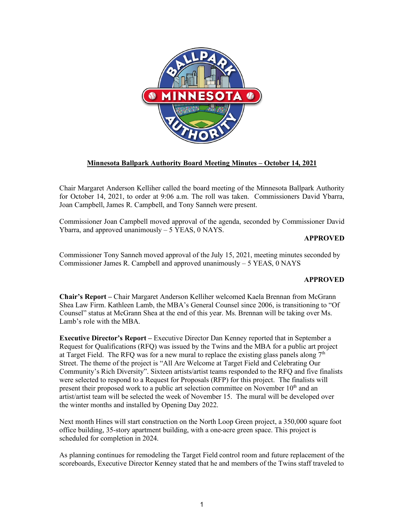

## **Minnesota Ballpark Authority Board Meeting Minutes – October 14, 2021**

Chair Margaret Anderson Kelliher called the board meeting of the Minnesota Ballpark Authority for October 14, 2021, to order at 9:06 a.m. The roll was taken. Commissioners David Ybarra, Joan Campbell, James R. Campbell, and Tony Sanneh were present.

Commissioner Joan Campbell moved approval of the agenda, seconded by Commissioner David Ybarra, and approved unanimously  $-5$  YEAS, 0 NAYS.

## **APPROVED**

Commissioner Tony Sanneh moved approval of the July 15, 2021, meeting minutes seconded by Commissioner James R. Campbell and approved unanimously – 5 YEAS, 0 NAYS

## **APPROVED**

**Chair's Report –** Chair Margaret Anderson Kelliher welcomed Kaela Brennan from McGrann Shea Law Firm. Kathleen Lamb, the MBA's General Counsel since 2006, is transitioning to "Of Counsel" status at McGrann Shea at the end of this year. Ms. Brennan will be taking over Ms. Lamb's role with the MBA.

**Executive Director's Report –** Executive Director Dan Kenney reported that in September a Request for Qualifications (RFQ) was issued by the Twins and the MBA for a public art project at Target Field. The RFQ was for a new mural to replace the existing glass panels along  $7<sup>th</sup>$ Street. The theme of the project is "All Are Welcome at Target Field and Celebrating Our Community's Rich Diversity". Sixteen artists/artist teams responded to the RFQ and five finalists were selected to respond to a Request for Proposals (RFP) for this project. The finalists will present their proposed work to a public art selection committee on November  $10<sup>th</sup>$  and an artist/artist team will be selected the week of November 15. The mural will be developed over the winter months and installed by Opening Day 2022.

Next month Hines will start construction on the North Loop Green project, a 350,000 square foot office building, 35-story apartment building, with a one-acre green space. This project is scheduled for completion in 2024.

As planning continues for remodeling the Target Field control room and future replacement of the scoreboards, Executive Director Kenney stated that he and members of the Twins staff traveled to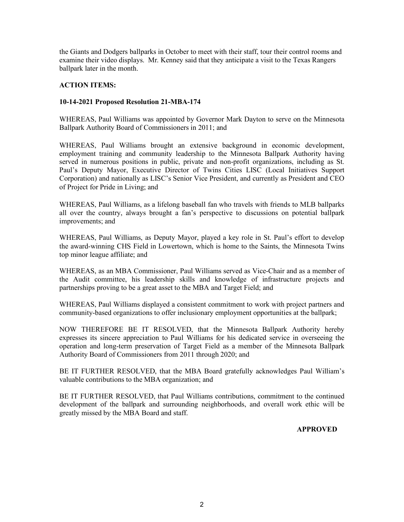the Giants and Dodgers ballparks in October to meet with their staff, tour their control rooms and examine their video displays. Mr. Kenney said that they anticipate a visit to the Texas Rangers ballpark later in the month.

## **ACTION ITEMS:**

## **10-14-2021 Proposed Resolution 21-MBA-174**

WHEREAS, Paul Williams was appointed by Governor Mark Dayton to serve on the Minnesota Ballpark Authority Board of Commissioners in 2011; and

WHEREAS, Paul Williams brought an extensive background in economic development, employment training and community leadership to the Minnesota Ballpark Authority having served in numerous positions in public, private and non-profit organizations, including as St. Paul's Deputy Mayor, Executive Director of Twins Cities LISC (Local Initiatives Support Corporation) and nationally as LISC's Senior Vice President, and currently as President and CEO of Project for Pride in Living; and

WHEREAS, Paul Williams, as a lifelong baseball fan who travels with friends to MLB ballparks all over the country, always brought a fan's perspective to discussions on potential ballpark improvements; and

WHEREAS, Paul Williams, as Deputy Mayor, played a key role in St. Paul's effort to develop the award-winning CHS Field in Lowertown, which is home to the Saints, the Minnesota Twins top minor league affiliate; and

WHEREAS, as an MBA Commissioner, Paul Williams served as Vice-Chair and as a member of the Audit committee, his leadership skills and knowledge of infrastructure projects and partnerships proving to be a great asset to the MBA and Target Field; and

WHEREAS, Paul Williams displayed a consistent commitment to work with project partners and community-based organizations to offer inclusionary employment opportunities at the ballpark;

NOW THEREFORE BE IT RESOLVED, that the Minnesota Ballpark Authority hereby expresses its sincere appreciation to Paul Williams for his dedicated service in overseeing the operation and long-term preservation of Target Field as a member of the Minnesota Ballpark Authority Board of Commissioners from 2011 through 2020; and

BE IT FURTHER RESOLVED, that the MBA Board gratefully acknowledges Paul William's valuable contributions to the MBA organization; and

BE IT FURTHER RESOLVED, that Paul Williams contributions, commitment to the continued development of the ballpark and surrounding neighborhoods, and overall work ethic will be greatly missed by the MBA Board and staff.

**APPROVED**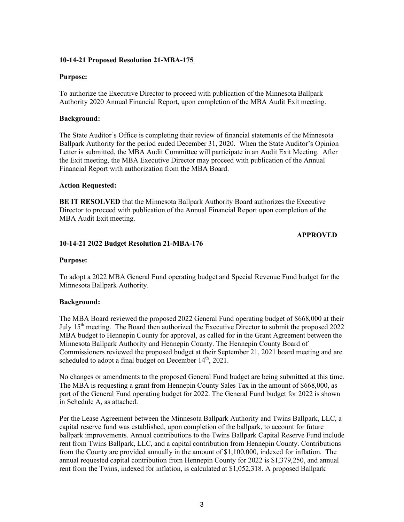### **10-14-21 Proposed Resolution 21-MBA-175**

### **Purpose:**

To authorize the Executive Director to proceed with publication of the Minnesota Ballpark Authority 2020 Annual Financial Report, upon completion of the MBA Audit Exit meeting.

### **Background:**

The State Auditor's Office is completing their review of financial statements of the Minnesota Ballpark Authority for the period ended December 31, 2020. When the State Auditor's Opinion Letter is submitted, the MBA Audit Committee will participate in an Audit Exit Meeting. After the Exit meeting, the MBA Executive Director may proceed with publication of the Annual Financial Report with authorization from the MBA Board.

### **Action Requested:**

**BE IT RESOLVED** that the Minnesota Ballpark Authority Board authorizes the Executive Director to proceed with publication of the Annual Financial Report upon completion of the MBA Audit Exit meeting.

### **APPROVED**

### **10-14-21 2022 Budget Resolution 21-MBA-176**

### **Purpose:**

To adopt a 2022 MBA General Fund operating budget and Special Revenue Fund budget for the Minnesota Ballpark Authority.

## **Background:**

The MBA Board reviewed the proposed 2022 General Fund operating budget of \$668,000 at their July  $15<sup>th</sup>$  meeting. The Board then authorized the Executive Director to submit the proposed 2022 MBA budget to Hennepin County for approval, as called for in the Grant Agreement between the Minnesota Ballpark Authority and Hennepin County. The Hennepin County Board of Commissioners reviewed the proposed budget at their September 21, 2021 board meeting and are scheduled to adopt a final budget on December  $14<sup>th</sup>$ , 2021.

No changes or amendments to the proposed General Fund budget are being submitted at this time. The MBA is requesting a grant from Hennepin County Sales Tax in the amount of \$668,000, as part of the General Fund operating budget for 2022. The General Fund budget for 2022 is shown in Schedule A, as attached.

Per the Lease Agreement between the Minnesota Ballpark Authority and Twins Ballpark, LLC, a capital reserve fund was established, upon completion of the ballpark, to account for future ballpark improvements. Annual contributions to the Twins Ballpark Capital Reserve Fund include rent from Twins Ballpark, LLC, and a capital contribution from Hennepin County. Contributions from the County are provided annually in the amount of \$1,100,000, indexed for inflation. The annual requested capital contribution from Hennepin County for 2022 is \$1,379,250, and annual rent from the Twins, indexed for inflation, is calculated at \$1,052,318. A proposed Ballpark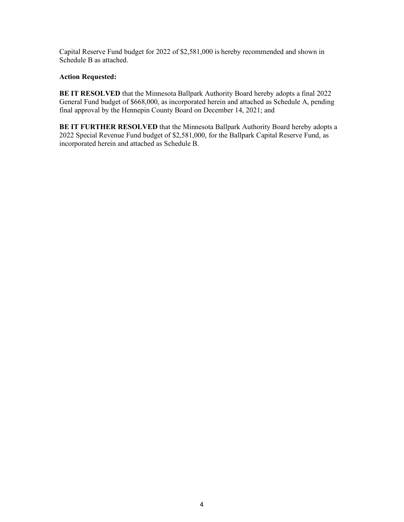Capital Reserve Fund budget for 2022 of \$2,581,000 is hereby recommended and shown in Schedule B as attached.

## **Action Requested:**

**BE IT RESOLVED** that the Minnesota Ballpark Authority Board hereby adopts a final 2022 General Fund budget of \$668,000, as incorporated herein and attached as Schedule A, pending final approval by the Hennepin County Board on December 14, 2021; and

**BE IT FURTHER RESOLVED** that the Minnesota Ballpark Authority Board hereby adopts a 2022 Special Revenue Fund budget of \$2,581,000, for the Ballpark Capital Reserve Fund, as incorporated herein and attached as Schedule B.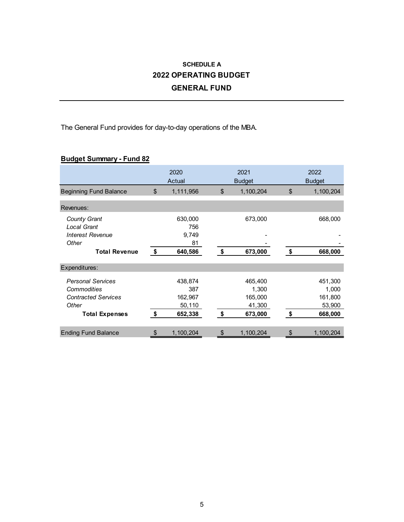## **SCHEDULE A 2022 OPERATING BUDGET GENERAL FUND**

The General Fund provides for day-to-day operations of the MBA.

## **Budget Summary - Fund 82**

|                               | 2020<br>Actual  | 2021<br><b>Budget</b> |           | 2022<br><b>Budget</b> |           |
|-------------------------------|-----------------|-----------------------|-----------|-----------------------|-----------|
| <b>Beginning Fund Balance</b> | \$<br>1,111,956 | \$                    | 1,100,204 | \$                    | 1,100,204 |
| Revenues:                     |                 |                       |           |                       |           |
| <b>County Grant</b>           | 630,000         |                       | 673,000   |                       | 668,000   |
| <b>Local Grant</b>            | 756             |                       |           |                       |           |
| <b>Interest Revenue</b>       | 9,749           |                       |           |                       |           |
| Other                         | 81              |                       |           |                       |           |
| <b>Total Revenue</b>          | \$<br>640,586   | \$                    | 673,000   | \$                    | 668,000   |
| Expenditures:                 |                 |                       |           |                       |           |
| <b>Personal Services</b>      | 438,874         |                       | 465,400   |                       | 451,300   |
| Commodities                   | 387             |                       | 1,300     |                       | 1,000     |
| <b>Contracted Services</b>    | 162,967         |                       | 165,000   |                       | 161,800   |
| Other                         | 50,110          |                       | 41,300    |                       | 53,900    |
| <b>Total Expenses</b>         | \$<br>652,338   | \$                    | 673,000   | \$                    | 668,000   |
|                               |                 |                       |           |                       |           |
| <b>Ending Fund Balance</b>    | \$<br>1,100,204 | \$                    | 1,100,204 | \$                    | 1,100,204 |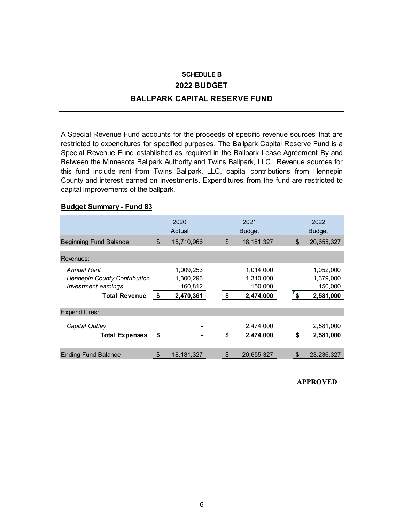# **SCHEDULE B 2022 BUDGET BALLPARK CAPITAL RESERVE FUND**

A Special Revenue Fund accounts for the proceeds of specific revenue sources that are restricted to expenditures for specified purposes. The Ballpark Capital Reserve Fund is a Special Revenue Fund established as required in the Ballpark Lease Agreement By and Between the Minnesota Ballpark Authority and Twins Ballpark, LLC. Revenue sources for this fund include rent from Twins Ballpark, LLC, capital contributions from Hennepin County and interest earned on investments. Expenditures from the fund are restricted to capital improvements of the ballpark.

## **Budget Summary - Fund 83**

|                                                                                                   | 2020<br>Actual                                       |    | 2021<br><b>Budget</b>                          |    | 2022<br><b>Budget</b>                          |
|---------------------------------------------------------------------------------------------------|------------------------------------------------------|----|------------------------------------------------|----|------------------------------------------------|
| <b>Beginning Fund Balance</b>                                                                     | \$<br>15,710,966                                     | \$ | 18, 181, 327                                   | \$ | 20,655,327                                     |
| Revenues:                                                                                         |                                                      |    |                                                |    |                                                |
| Annual Rent<br><b>Hennepin County Contribution</b><br>Investment earnings<br><b>Total Revenue</b> | \$<br>1,009,253<br>1,300,296<br>160,812<br>2,470,361 | \$ | 1,014,000<br>1,310,000<br>150,000<br>2,474,000 | \$ | 1,052,000<br>1,379,000<br>150,000<br>2,581,000 |
| Expenditures:                                                                                     |                                                      |    |                                                |    |                                                |
| Capital Outlay<br><b>Total Expenses</b>                                                           | \$                                                   | \$ | 2,474,000<br>2,474,000                         | \$ | 2,581,000<br>2,581,000                         |
| <b>Ending Fund Balance</b>                                                                        | \$<br>18, 181, 327                                   | \$ | 20,655,327                                     | \$ | 23,236,327                                     |

### **APPROVED**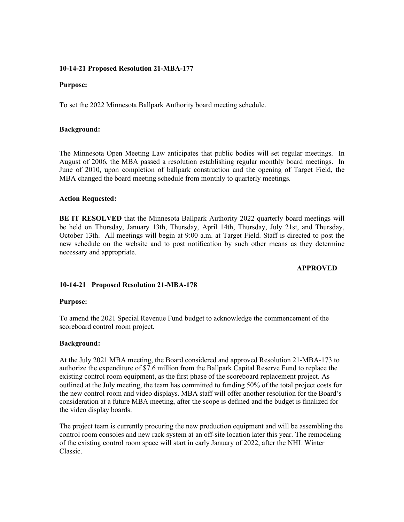### **10-14-21 Proposed Resolution 21-MBA-177**

### **Purpose:**

To set the 2022 Minnesota Ballpark Authority board meeting schedule.

### **Background:**

The Minnesota Open Meeting Law anticipates that public bodies will set regular meetings. In August of 2006, the MBA passed a resolution establishing regular monthly board meetings. In June of 2010, upon completion of ballpark construction and the opening of Target Field, the MBA changed the board meeting schedule from monthly to quarterly meetings.

### **Action Requested:**

**BE IT RESOLVED** that the Minnesota Ballpark Authority 2022 quarterly board meetings will be held on Thursday, January 13th, Thursday, April 14th, Thursday, July 21st, and Thursday, October 13th. All meetings will begin at 9:00 a.m. at Target Field. Staff is directed to post the new schedule on the website and to post notification by such other means as they determine necessary and appropriate.

## **APPROVED**

## **10-14-21 Proposed Resolution 21-MBA-178**

### **Purpose:**

To amend the 2021 Special Revenue Fund budget to acknowledge the commencement of the scoreboard control room project.

### **Background:**

At the July 2021 MBA meeting, the Board considered and approved Resolution 21-MBA-173 to authorize the expenditure of \$7.6 million from the Ballpark Capital Reserve Fund to replace the existing control room equipment, as the first phase of the scoreboard replacement project. As outlined at the July meeting, the team has committed to funding 50% of the total project costs for the new control room and video displays. MBA staff will offer another resolution for the Board's consideration at a future MBA meeting, after the scope is defined and the budget is finalized for the video display boards.

The project team is currently procuring the new production equipment and will be assembling the control room consoles and new rack system at an off-site location later this year. The remodeling of the existing control room space will start in early January of 2022, after the NHL Winter Classic.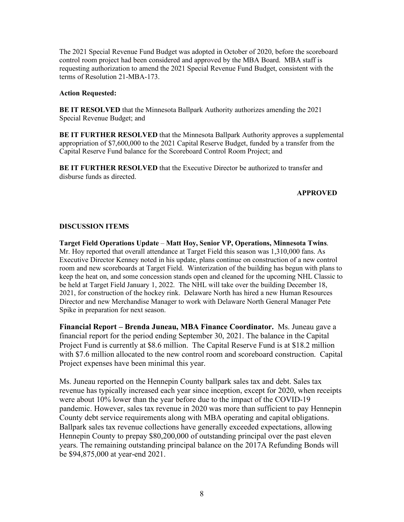The 2021 Special Revenue Fund Budget was adopted in October of 2020, before the scoreboard control room project had been considered and approved by the MBA Board. MBA staff is requesting authorization to amend the 2021 Special Revenue Fund Budget, consistent with the terms of Resolution 21-MBA-173.

### **Action Requested:**

**BE IT RESOLVED** that the Minnesota Ballpark Authority authorizes amending the 2021 Special Revenue Budget; and

**BE IT FURTHER RESOLVED** that the Minnesota Ballpark Authority approves a supplemental appropriation of \$7,600,000 to the 2021 Capital Reserve Budget, funded by a transfer from the Capital Reserve Fund balance for the Scoreboard Control Room Project; and

**BE IT FURTHER RESOLVED** that the Executive Director be authorized to transfer and disburse funds as directed.

### **APPROVED**

## **DISCUSSION ITEMS**

**Target Field Operations Update** – **Matt Hoy, Senior VP, Operations, Minnesota Twins**. Mr. Hoy reported that overall attendance at Target Field this season was 1,310,000 fans. As Executive Director Kenney noted in his update, plans continue on construction of a new control room and new scoreboards at Target Field. Winterization of the building has begun with plans to keep the heat on, and some concession stands open and cleaned for the upcoming NHL Classic to be held at Target Field January 1, 2022. The NHL will take over the building December 18, 2021, for construction of the hockey rink. Delaware North has hired a new Human Resources Director and new Merchandise Manager to work with Delaware North General Manager Pete Spike in preparation for next season.

**Financial Report – Brenda Juneau, MBA Finance Coordinator.** Ms. Juneau gave a financial report for the period ending September 30, 2021. The balance in the Capital Project Fund is currently at \$8.6 million. The Capital Reserve Fund is at \$18.2 million with \$7.6 million allocated to the new control room and scoreboard construction. Capital Project expenses have been minimal this year.

Ms. Juneau reported on the Hennepin County ballpark sales tax and debt. Sales tax revenue has typically increased each year since inception, except for 2020, when receipts were about 10% lower than the year before due to the impact of the COVID-19 pandemic. However, sales tax revenue in 2020 was more than sufficient to pay Hennepin County debt service requirements along with MBA operating and capital obligations. Ballpark sales tax revenue collections have generally exceeded expectations, allowing Hennepin County to prepay \$80,200,000 of outstanding principal over the past eleven years. The remaining outstanding principal balance on the 2017A Refunding Bonds will be \$94,875,000 at year-end 2021.